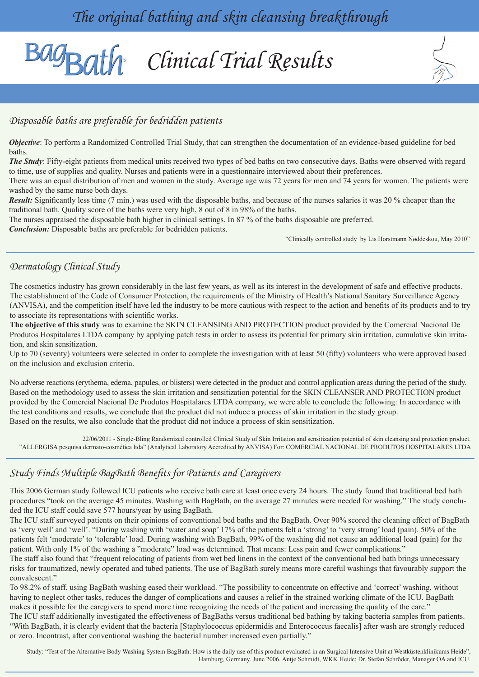*The original bathing and skin cleansing breakthrough*

# *Clinical Trial Results*



#### *Disposable baths are preferable for bedridden patients*

*Objective*: To perform a Randomized Controlled Trial Study, that can strengthen the documentation of an evidence-based guideline for bed baths.

*The Study*: Fifty-eight patients from medical units received two types of bed baths on two consecutive days. Baths were observed with regard to time, use of supplies and quality. Nurses and patients were in a questionnaire interviewed about their preferences.

There was an equal distribution of men and women in the study. Average age was 72 years for men and 74 years for women. The patients were washed by the same nurse both days.

*Result:* Significantly less time (7 min.) was used with the disposable baths, and because of the nurses salaries it was 20 % cheaper than the traditional bath. Quality score of the baths were very high, 8 out of 8 in 98% of the baths.

The nurses appraised the disposable bath higher in clinical settings. In 87 % of the baths disposable are preferred.

*Conclusion:* Disposable baths are preferable for bedridden patients.

"Clinically controlled study by Lis Horstmann Nøddeskou, May 2010"

#### *Dermatology Clinical Study*

The cosmetics industry has grown considerably in the last few years, as well as its interest in the development of safe and effective products. The establishment of the Code of Consumer Protection, the requirements of the Ministry of Health's National Sanitary Surveillance Agency (ANVISA), and the competition itself have led the industry to be more cautious with respect to the action and benefits of its products and to try to associate its representations with scientific works.

**The objective of this study** was to examine the SKIN CLEANSING AND PROTECTION product provided by the Comercial Nacional De Produtos Hospitalares LTDA company by applying patch tests in order to assess its potential for primary skin irritation, cumulative skin irritation, and skin sensitization.

Up to 70 (seventy) volunteers were selected in order to complete the investigation with at least 50 (fifty) volunteers who were approved based on the inclusion and exclusion criteria.

No adverse reactions (erythema, edema, papules, or blisters) were detected in the product and control application areas during the period of the study. Based on the methodology used to assess the skin irritation and sensitization potential for the SKIN CLEANSER AND PROTECTION product provided by the Comercial Nacional De Produtos Hospitalares LTDA company, we were able to conclude the following: In accordance with the test conditions and results, we conclude that the product did not induce a process of skin irritation in the study group. Based on the results, we also conclude that the product did not induce a process of skin sensitization.

22/06/2011 - Single-Bling Randomized controlled Clinical Study of Skin Irritation and sensitization potential of skin cleansing and protection product. "ALLERGISA pesquisa dermato-cosmética ltda" (Analytical Laboratory Accredited by ANVISA) For: COMERCIAL NACIONAL DE PRODUTOS HOSPITALARES LTDA

#### *Study Finds Multiple BagBath Benefits for Patients and Caregivers*

This 2006 German study followed ICU patients who receive bath care at least once every 24 hours. The study found that traditional bed bath procedures "took on the average 45 minutes. Washing with BagBath, on the average 27 minutes were needed for washing." The study concluded the ICU staff could save 577 hours/year by using BagBath.

The ICU staff surveyed patients on their opinions of conventional bed baths and the BagBath. Over 90% scored the cleaning effect of BagBath as 'very well' and 'well'. "During washing with 'water and soap' 17% of the patients felt a 'strong' to 'very strong' load (pain). 50% of the patients felt 'moderate' to 'tolerable' load. During washing with BagBath, 99% of the washing did not cause an additional load (pain) for the patient. With only 1% of the washing a "moderate" load was determined. That means: Less pain and fewer complications."

The staff also found that "frequent relocating of patients from wet bed linens in the context of the conventional bed bath brings unnecessary risks for traumatized, newly operated and tubed patients. The use of BagBath surely means more careful washings that favourably support the convalescent."

To 98.2% of staff, using BagBath washing eased their workload. "The possibility to concentrate on effective and 'correct' washing, without having to neglect other tasks, reduces the danger of complications and causes a relief in the strained working climate of the ICU. BagBath makes it possible for the caregivers to spend more time recognizing the needs of the patient and increasing the quality of the care."

The ICU staff additionally investigated the effectiveness of BagBaths versus traditional bed bathing by taking bacteria samples from patients. "With BagBath, it is clearly evident that the bacteria [Staphylococcus epidermidis and Enterococcus faecalis] after wash are strongly reduced or zero. Incontrast, after conventional washing the bacterial number increased even partially."

Study: "Test of the Alternative Body Washing System BagBath: How is the daily use of this product evaluated in an Surgical Intensive Unit at Westküstenklinikums Heide", Hamburg, Germany. June 2006. Antje Schmidt, WKK Heide; Dr. Stefan Schröder, Manager OA and ICU.